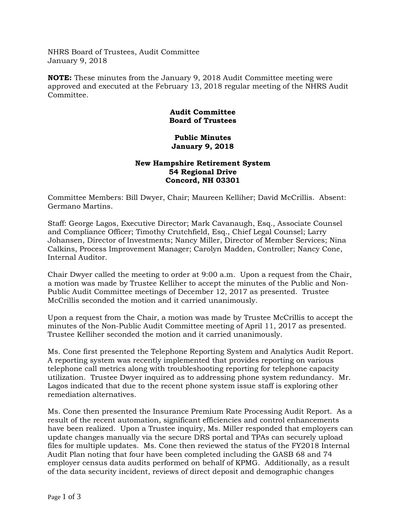NHRS Board of Trustees, Audit Committee January 9, 2018

**NOTE:** These minutes from the January 9, 2018 Audit Committee meeting were approved and executed at the February 13, 2018 regular meeting of the NHRS Audit Committee.

## **Audit Committee Board of Trustees**

## **Public Minutes January 9, 2018**

## **New Hampshire Retirement System 54 Regional Drive Concord, NH 03301**

Committee Members: Bill Dwyer, Chair; Maureen Kelliher; David McCrillis. Absent: Germano Martins.

Staff: George Lagos, Executive Director; Mark Cavanaugh, Esq., Associate Counsel and Compliance Officer; Timothy Crutchfield, Esq., Chief Legal Counsel; Larry Johansen, Director of Investments; Nancy Miller, Director of Member Services; Nina Calkins, Process Improvement Manager; Carolyn Madden, Controller; Nancy Cone, Internal Auditor.

Chair Dwyer called the meeting to order at 9:00 a.m. Upon a request from the Chair, a motion was made by Trustee Kelliher to accept the minutes of the Public and Non-Public Audit Committee meetings of December 12, 2017 as presented. Trustee McCrillis seconded the motion and it carried unanimously.

Upon a request from the Chair, a motion was made by Trustee McCrillis to accept the minutes of the Non-Public Audit Committee meeting of April 11, 2017 as presented. Trustee Kelliher seconded the motion and it carried unanimously.

Ms. Cone first presented the Telephone Reporting System and Analytics Audit Report. A reporting system was recently implemented that provides reporting on various telephone call metrics along with troubleshooting reporting for telephone capacity utilization. Trustee Dwyer inquired as to addressing phone system redundancy. Mr. Lagos indicated that due to the recent phone system issue staff is exploring other remediation alternatives.

Ms. Cone then presented the Insurance Premium Rate Processing Audit Report. As a result of the recent automation, significant efficiencies and control enhancements have been realized. Upon a Trustee inquiry, Ms. Miller responded that employers can update changes manually via the secure DRS portal and TPAs can securely upload files for multiple updates. Ms. Cone then reviewed the status of the FY2018 Internal Audit Plan noting that four have been completed including the GASB 68 and 74 employer census data audits performed on behalf of KPMG. Additionally, as a result of the data security incident, reviews of direct deposit and demographic changes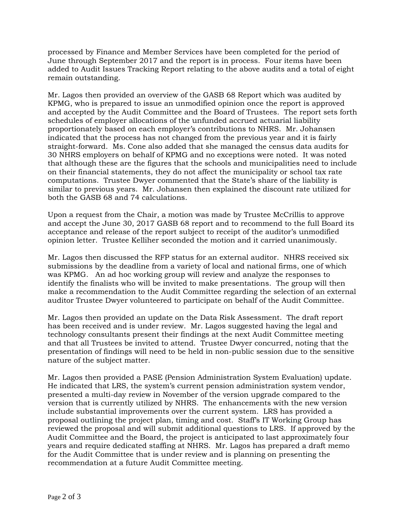processed by Finance and Member Services have been completed for the period of June through September 2017 and the report is in process. Four items have been added to Audit Issues Tracking Report relating to the above audits and a total of eight remain outstanding.

Mr. Lagos then provided an overview of the GASB 68 Report which was audited by KPMG, who is prepared to issue an unmodified opinion once the report is approved and accepted by the Audit Committee and the Board of Trustees. The report sets forth schedules of employer allocations of the unfunded accrued actuarial liability proportionately based on each employer's contributions to NHRS. Mr. Johansen indicated that the process has not changed from the previous year and it is fairly straight-forward. Ms. Cone also added that she managed the census data audits for 30 NHRS employers on behalf of KPMG and no exceptions were noted. It was noted that although these are the figures that the schools and municipalities need to include on their financial statements, they do not affect the municipality or school tax rate computations. Trustee Dwyer commented that the State's share of the liability is similar to previous years. Mr. Johansen then explained the discount rate utilized for both the GASB 68 and 74 calculations.

Upon a request from the Chair, a motion was made by Trustee McCrillis to approve and accept the June 30, 2017 GASB 68 report and to recommend to the full Board its acceptance and release of the report subject to receipt of the auditor's unmodified opinion letter. Trustee Kelliher seconded the motion and it carried unanimously.

Mr. Lagos then discussed the RFP status for an external auditor. NHRS received six submissions by the deadline from a variety of local and national firms, one of which was KPMG. An ad hoc working group will review and analyze the responses to identify the finalists who will be invited to make presentations. The group will then make a recommendation to the Audit Committee regarding the selection of an external auditor Trustee Dwyer volunteered to participate on behalf of the Audit Committee.

Mr. Lagos then provided an update on the Data Risk Assessment. The draft report has been received and is under review. Mr. Lagos suggested having the legal and technology consultants present their findings at the next Audit Committee meeting and that all Trustees be invited to attend. Trustee Dwyer concurred, noting that the presentation of findings will need to be held in non-public session due to the sensitive nature of the subject matter.

Mr. Lagos then provided a PASE (Pension Administration System Evaluation) update. He indicated that LRS, the system's current pension administration system vendor, presented a multi-day review in November of the version upgrade compared to the version that is currently utilized by NHRS. The enhancements with the new version include substantial improvements over the current system. LRS has provided a proposal outlining the project plan, timing and cost. Staff's IT Working Group has reviewed the proposal and will submit additional questions to LRS. If approved by the Audit Committee and the Board, the project is anticipated to last approximately four years and require dedicated staffing at NHRS. Mr. Lagos has prepared a draft memo for the Audit Committee that is under review and is planning on presenting the recommendation at a future Audit Committee meeting.